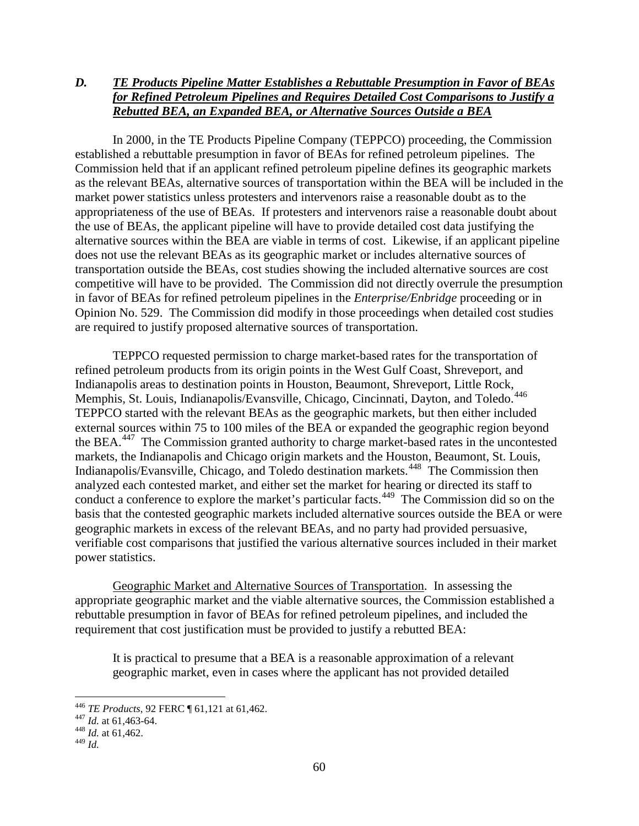## *D. TE Products Pipeline Matter Establishes a Rebuttable Presumption in Favor of BEAs for Refined Petroleum Pipelines and Requires Detailed Cost Comparisons to Justify a Rebutted BEA, an Expanded BEA, or Alternative Sources Outside a BEA*

In 2000, in the TE Products Pipeline Company (TEPPCO) proceeding, the Commission established a rebuttable presumption in favor of BEAs for refined petroleum pipelines. The Commission held that if an applicant refined petroleum pipeline defines its geographic markets as the relevant BEAs, alternative sources of transportation within the BEA will be included in the market power statistics unless protesters and intervenors raise a reasonable doubt as to the appropriateness of the use of BEAs. If protesters and intervenors raise a reasonable doubt about the use of BEAs, the applicant pipeline will have to provide detailed cost data justifying the alternative sources within the BEA are viable in terms of cost. Likewise, if an applicant pipeline does not use the relevant BEAs as its geographic market or includes alternative sources of transportation outside the BEAs, cost studies showing the included alternative sources are cost competitive will have to be provided. The Commission did not directly overrule the presumption in favor of BEAs for refined petroleum pipelines in the *Enterprise/Enbridge* proceeding or in Opinion No. 529. The Commission did modify in those proceedings when detailed cost studies are required to justify proposed alternative sources of transportation.

TEPPCO requested permission to charge market-based rates for the transportation of refined petroleum products from its origin points in the West Gulf Coast, Shreveport, and Indianapolis areas to destination points in Houston, Beaumont, Shreveport, Little Rock, Memphis, St. Louis, Indianapolis/Evansville, Chicago, Cincinnati, Dayton, and Toledo.<sup>[446](#page-0-0)</sup> TEPPCO started with the relevant BEAs as the geographic markets, but then either included external sources within 75 to 100 miles of the BEA or expanded the geographic region beyond the BEA.<sup>[447](#page-0-1)</sup> The Commission granted authority to charge market-based rates in the uncontested markets, the Indianapolis and Chicago origin markets and the Houston, Beaumont, St. Louis, Indianapolis/Evansville, Chicago, and Toledo destination markets.[448](#page-0-2) The Commission then analyzed each contested market, and either set the market for hearing or directed its staff to conduct a conference to explore the market's particular facts.<sup>[449](#page-0-3)</sup> The Commission did so on the basis that the contested geographic markets included alternative sources outside the BEA or were geographic markets in excess of the relevant BEAs, and no party had provided persuasive, verifiable cost comparisons that justified the various alternative sources included in their market power statistics.

Geographic Market and Alternative Sources of Transportation. In assessing the appropriate geographic market and the viable alternative sources, the Commission established a rebuttable presumption in favor of BEAs for refined petroleum pipelines, and included the requirement that cost justification must be provided to justify a rebutted BEA:

It is practical to presume that a BEA is a reasonable approximation of a relevant geographic market, even in cases where the applicant has not provided detailed

<span id="page-0-1"></span><span id="page-0-0"></span><sup>446</sup> *TE Products*, 92 FERC ¶ 61,121 at 61,462. 447 *Id.* at 61,463-64. <sup>448</sup> *Id.* at 61,462.

<span id="page-0-3"></span><span id="page-0-2"></span><sup>449</sup> *Id.*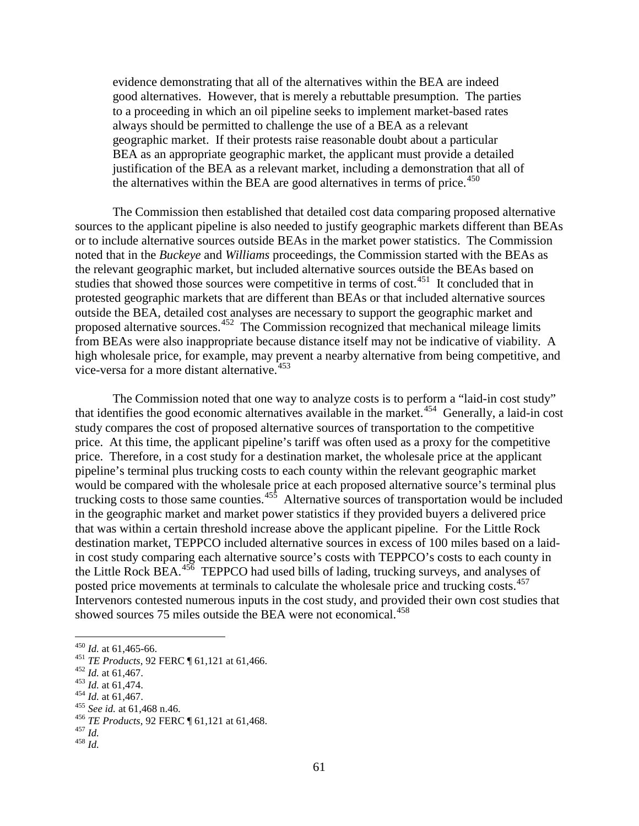evidence demonstrating that all of the alternatives within the BEA are indeed good alternatives. However, that is merely a rebuttable presumption. The parties to a proceeding in which an oil pipeline seeks to implement market-based rates always should be permitted to challenge the use of a BEA as a relevant geographic market. If their protests raise reasonable doubt about a particular BEA as an appropriate geographic market, the applicant must provide a detailed justification of the BEA as a relevant market, including a demonstration that all of the alternatives within the BEA are good alternatives in terms of price.<sup>[450](#page-1-0)</sup>

The Commission then established that detailed cost data comparing proposed alternative sources to the applicant pipeline is also needed to justify geographic markets different than BEAs or to include alternative sources outside BEAs in the market power statistics. The Commission noted that in the *Buckeye* and *Williams* proceedings, the Commission started with the BEAs as the relevant geographic market, but included alternative sources outside the BEAs based on studies that showed those sources were competitive in terms of cost.<sup>[451](#page-1-1)</sup> It concluded that in protested geographic markets that are different than BEAs or that included alternative sources outside the BEA, detailed cost analyses are necessary to support the geographic market and proposed alternative sources.<sup>[452](#page-1-2)</sup> The Commission recognized that mechanical mileage limits from BEAs were also inappropriate because distance itself may not be indicative of viability. A high wholesale price, for example, may prevent a nearby alternative from being competitive, and vice-versa for a more distant alternative.<sup>[453](#page-1-3)</sup>

The Commission noted that one way to analyze costs is to perform a "laid-in cost study" that identifies the good economic alternatives available in the market.<sup>454</sup> Generally, a laid-in cost study compares the cost of proposed alternative sources of transportation to the competitive price. At this time, the applicant pipeline's tariff was often used as a proxy for the competitive price. Therefore, in a cost study for a destination market, the wholesale price at the applicant pipeline's terminal plus trucking costs to each county within the relevant geographic market would be compared with the wholesale price at each proposed alternative source's terminal plus trucking costs to those same counties.<sup>[455](#page-1-5)</sup> Alternative sources of transportation would be included in the geographic market and market power statistics if they provided buyers a delivered price that was within a certain threshold increase above the applicant pipeline. For the Little Rock destination market, TEPPCO included alternative sources in excess of 100 miles based on a laidin cost study comparing each alternative source's costs with TEPPCO's costs to each county in the Little Rock BEA.<sup>456</sup> TEPPCO had used bills of lading, trucking surveys, and analyses of posted price movements at terminals to calculate the wholesale price and trucking costs.<sup>457</sup> Intervenors contested numerous inputs in the cost study, and provided their own cost studies that showed sources 75 miles outside the BEA were not economical.<sup>458</sup>

<span id="page-1-4"></span>

<span id="page-1-8"></span><span id="page-1-7"></span><span id="page-1-6"></span>

<span id="page-1-1"></span><span id="page-1-0"></span><sup>&</sup>lt;sup>450</sup> *Id.* at 61,465-66.<br>
<sup>451</sup> *TE Products*, 92 FERC ¶ 61,121 at 61,466.<br>
<sup>452</sup> *Id.* at 61,467.<br>
<sup>454</sup> *Id.* at 61,467.<br>
<sup>454</sup> *Id.* at 61,467.<br>
<sup>455</sup> *See id.* at 61,468 n.46.<br>
<sup>455</sup> *TE Products*, 92 FERC ¶ 61,121 a

<span id="page-1-2"></span>

<span id="page-1-3"></span>

<span id="page-1-5"></span>